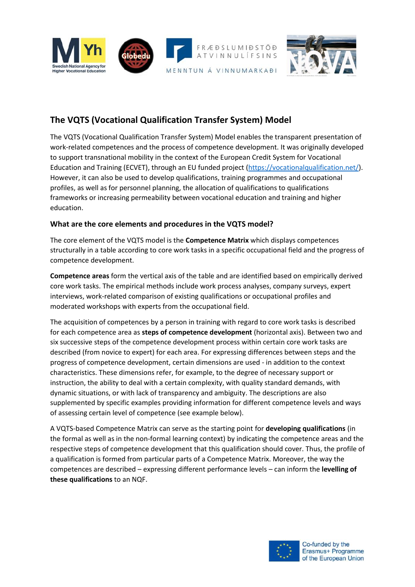

## **The VQTS (Vocational Qualification Transfer System) Model**

The VQTS (Vocational Qualification Transfer System) Model enables the transparent presentation of work-related competences and the process of competence development. It was originally developed to support transnational mobility in the context of the European Credit System for Vocational Education and Training (ECVET), through an EU funded project [\(https://vocationalqualification.net/\)](https://vocationalqualification.net/). However, it can also be used to develop qualifications, training programmes and occupational profiles, as well as for personnel planning, the allocation of qualifications to qualifications frameworks or increasing permeability between vocational education and training and higher education.

#### **What are the core elements and procedures in the VQTS model?**

The core element of the VQTS model is the **Competence Matrix** which displays competences structurally in a table according to core work tasks in a specific occupational field and the progress of competence development.

**Competence areas** form the vertical axis of the table and are identified based on empirically derived core work tasks. The empirical methods include work process analyses, company surveys, expert interviews, work-related comparison of existing qualifications or occupational profiles and moderated workshops with experts from the occupational field.

The acquisition of competences by a person in training with regard to core work tasks is described for each competence area as **steps of competence development** (horizontal axis). Between two and six successive steps of the competence development process within certain core work tasks are described (from novice to expert) for each area. For expressing differences between steps and the progress of competence development, certain dimensions are used - in addition to the context characteristics. These dimensions refer, for example, to the degree of necessary support or instruction, the ability to deal with a certain complexity, with quality standard demands, with dynamic situations, or with lack of transparency and ambiguity. The descriptions are also supplemented by specific examples providing information for different competence levels and ways of assessing certain level of competence (see example below).

A VQTS-based Competence Matrix can serve as the starting point for **developing qualifications** (in the formal as well as in the non-formal learning context) by indicating the competence areas and the respective steps of competence development that this qualification should cover. Thus, the profile of a qualification is formed from particular parts of a Competence Matrix. Moreover, the way the competences are described – expressing different performance levels – can inform the **levelling of these qualifications** to an NQF.

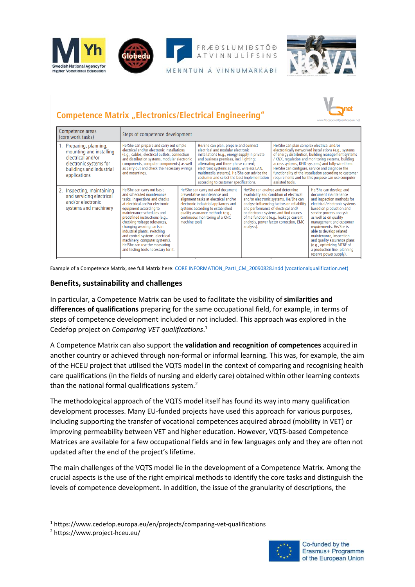



RÆÐS MIDSTÖÐ  $IF SINS$ 

MENNTUN Á VINNUMARKAÐI

# **Competence Matrix "Electronics/Electrical Engineering"**



| Competence areas<br>(core work tasks)                                                                                                         | Steps of competence development                                                                                                                                                                                                                                                                                                                                                                                                                              |                                                                                                                                                                                                                                                                              |                                                                                                                                                                                                                                                                                                                                                                                                  |                                                                                                                                                                                                                                                                                                                                                      |                                                                                                                                                                                                                                                                                                                                                                                                                                                              |                                                                                                                                                                                                                                                                                                                                                                                                                                |
|-----------------------------------------------------------------------------------------------------------------------------------------------|--------------------------------------------------------------------------------------------------------------------------------------------------------------------------------------------------------------------------------------------------------------------------------------------------------------------------------------------------------------------------------------------------------------------------------------------------------------|------------------------------------------------------------------------------------------------------------------------------------------------------------------------------------------------------------------------------------------------------------------------------|--------------------------------------------------------------------------------------------------------------------------------------------------------------------------------------------------------------------------------------------------------------------------------------------------------------------------------------------------------------------------------------------------|------------------------------------------------------------------------------------------------------------------------------------------------------------------------------------------------------------------------------------------------------------------------------------------------------------------------------------------------------|--------------------------------------------------------------------------------------------------------------------------------------------------------------------------------------------------------------------------------------------------------------------------------------------------------------------------------------------------------------------------------------------------------------------------------------------------------------|--------------------------------------------------------------------------------------------------------------------------------------------------------------------------------------------------------------------------------------------------------------------------------------------------------------------------------------------------------------------------------------------------------------------------------|
| 1. Preparing, planning,<br>mounting and installing<br>electrical and/or<br>electronic systems for<br>buildings and industrial<br>applications | He/She can prepare and carry out simple<br>electrical and/or electronic installations<br>(e.g., cables, electrical outlets, connection<br>and distribution systems, modular electronic<br>components, computer components) as well<br>as carry out and check the necessary wirings<br>and mountings.                                                                                                                                                         |                                                                                                                                                                                                                                                                              | He/She can plan, prepare and connect<br>electrical and modular electronic<br>installations (e.g., energy supply in private<br>and business premises, incl. lighting;<br>alternating and three-phase current;<br>electronic systems as units, wireless LAN,<br>multimedia systems). He/She can advice the<br>costumer and select the best implementation<br>according to customer specifications. |                                                                                                                                                                                                                                                                                                                                                      | He/She can plan complex electrical and/or<br>electronically networked installations (e.g., systems<br>of energy distribution, building management systems<br>/ KNX, regulation and monitoring systems, building<br>access systems, RFID-systems) and fully wire them.<br>He/She can configure, service and diagnose the<br>functionality of the installation according to customer<br>requirements and for this purpose can use computer-<br>assisted tools. |                                                                                                                                                                                                                                                                                                                                                                                                                                |
| 2. Inspecting, maintaining<br>and servicing electrical<br>and/or electronic<br>systems and machinery                                          | He/She can carry out basic<br>and scheduled maintenance<br>tasks, inspections and checks<br>at electrical and/or electronic<br>equipment according to<br>maintenance schedules and<br>predefined instructions (e.g.,<br>checking voltage tolerances,<br>changing wearing parts in<br>industrial plants, switching<br>and control systems, electrical<br>machinery, computer systems).<br>He/She can use the measuring<br>and testing tools necessary for it. | He/She can carry out and document<br>preventative maintenance and<br>alignment tasks at electrical and/or<br>electronic industrial appliances and<br>systems according to established<br>quality assurance methods (e.g.,<br>continuous monitoring of a CNC<br>machine tool) |                                                                                                                                                                                                                                                                                                                                                                                                  | He/She can analyse and determine<br>availability and condition of electrical<br>and/or electronic systems. He/She can<br>analyse influencing factors on reliability<br>and performance of electrical and/<br>or electronic systems and find causes<br>of malfunctions (e.g., leakage current<br>analysis, power factor correction, EMC<br>analysis). |                                                                                                                                                                                                                                                                                                                                                                                                                                                              | He/She can develop and<br>document maintenance<br>and inspection methods for<br>electrical/electronic systems<br>based on production and<br>service process analysis<br>as well as on quality<br>management and customer<br>requirements. He/She is<br>able to develop related<br>maintenance, inspection<br>and quality assurance plans<br>(e.g., optimizing MTBF of<br>a production line, planning<br>reserve power supply). |

Example of a Competence Matrix, see full Matrix here: CORE INFORMATION PartI CM 20090828.indd (vocationalqualification.net)

#### **Benefits, sustainability and challenges**

In particular, a Competence Matrix can be used to facilitate the visibility of **similarities and differences of qualifications** preparing for the same occupational field, for example, in terms of steps of competence development included or not included. This approach was explored in the Cedefop project on *Comparing VET qualifications*. 1

A Competence Matrix can also support the **validation and recognition of competences** acquired in another country or achieved through non-formal or informal learning. This was, for example, the aim of the HCEU project that utilised the VQTS model in the context of comparing and recognising health care qualifications (in the fields of nursing and elderly care) obtained within other learning contexts than the national formal qualifications system. $<sup>2</sup>$ </sup>

The methodological approach of the VQTS model itself has found its way into many qualification development processes. Many EU-funded projects have used this approach for various purposes, including supporting the transfer of vocational competences acquired abroad (mobility in VET) or improving permeability between VET and higher education. However, VQTS-based Competence Matrices are available for a few occupational fields and in few languages only and they are often not updated after the end of the project's lifetime.

The main challenges of the VQTS model lie in the development of a Competence Matrix. Among the crucial aspects is the use of the right empirical methods to identify the core tasks and distinguish the levels of competence development. In addition, the issue of the granularity of descriptions, the



<sup>1</sup> https://www.cedefop.europa.eu/en/projects/comparing-vet-qualifications

<sup>2</sup> https://www.project-hceu.eu/